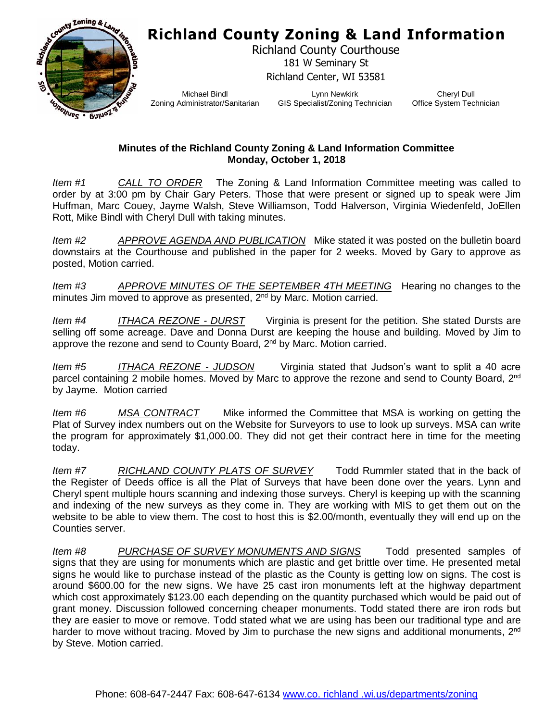## **Richland County Zoning & Land Information**



Richland County Courthouse 181 W Seminary St Richland Center, WI 53581

Michael Bindl Zoning Administrator/Sanitarian

Lynn Newkirk GIS Specialist/Zoning Technician

Cheryl Dull Office System Technician

## **Minutes of the Richland County Zoning & Land Information Committee Monday, October 1, 2018**

*Item #1 CALL TO ORDER* The Zoning & Land Information Committee meeting was called to order by at 3:00 pm by Chair Gary Peters. Those that were present or signed up to speak were Jim Huffman, Marc Couey, Jayme Walsh, Steve Williamson, Todd Halverson, Virginia Wiedenfeld, JoEllen Rott, Mike Bindl with Cheryl Dull with taking minutes.

*Item #2 APPROVE AGENDA AND PUBLICATION* Mike stated it was posted on the bulletin board downstairs at the Courthouse and published in the paper for 2 weeks. Moved by Gary to approve as posted, Motion carried.

*Item #3 APPROVE MINUTES OF THE SEPTEMBER 4TH MEETING* Hearing no changes to the minutes Jim moved to approve as presented,  $2^{nd}$  by Marc. Motion carried.

*Item #4 ITHACA REZONE - DURST* Virginia is present for the petition. She stated Dursts are selling off some acreage. Dave and Donna Durst are keeping the house and building. Moved by Jim to approve the rezone and send to County Board, 2<sup>nd</sup> by Marc. Motion carried.

*Item #5 ITHACA REZONE - JUDSON* Virginia stated that Judson's want to split a 40 acre parcel containing 2 mobile homes. Moved by Marc to approve the rezone and send to County Board, 2<sup>nd</sup> by Jayme. Motion carried

*Item #6 MSA CONTRACT* Mike informed the Committee that MSA is working on getting the Plat of Survey index numbers out on the Website for Surveyors to use to look up surveys. MSA can write the program for approximately \$1,000.00. They did not get their contract here in time for the meeting today.

*Item #7 RICHLAND COUNTY PLATS OF SURVEY* Todd Rummler stated that in the back of the Register of Deeds office is all the Plat of Surveys that have been done over the years. Lynn and Cheryl spent multiple hours scanning and indexing those surveys. Cheryl is keeping up with the scanning and indexing of the new surveys as they come in. They are working with MIS to get them out on the website to be able to view them. The cost to host this is \$2.00/month, eventually they will end up on the Counties server.

*Item #8 PURCHASE OF SURVEY MONUMENTS AND SIGNS* Todd presented samples of signs that they are using for monuments which are plastic and get brittle over time. He presented metal signs he would like to purchase instead of the plastic as the County is getting low on signs. The cost is around \$600.00 for the new signs. We have 25 cast iron monuments left at the highway department which cost approximately \$123.00 each depending on the quantity purchased which would be paid out of grant money. Discussion followed concerning cheaper monuments. Todd stated there are iron rods but they are easier to move or remove. Todd stated what we are using has been our traditional type and are harder to move without tracing. Moved by Jim to purchase the new signs and additional monuments, 2<sup>nd</sup> by Steve. Motion carried.